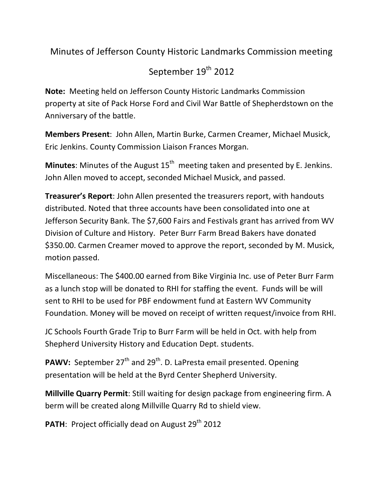Minutes of Jefferson County Historic Landmarks Commission meeting

September 19th 2012

**Note:** Meeting held on Jefferson County Historic Landmarks Commission property at site of Pack Horse Ford and Civil War Battle of Shepherdstown on the Anniversary of the battle.

**Members Present: John Allen, Martin Burke, Carmen Creamer, Michael Musick,** Eric Jenkins. County Commission Liaison Frances Morgan.

**Minutes:** Minutes of the August 15<sup>th</sup> meeting taken and presented by E. Jenkins. John Allen moved to accept, seconded Michael Musick, and passed.

**Treasurer's Report:** John Allen presented the treasurers report, with handouts distributed. Noted that three accounts have been consolidated into one at Jefferson Security Bank. The \$7,600 Fairs and Festivals grant has arrived from WV Division of Culture and History. Peter Burr Farm Bread Bakers have donated \$350.00. Carmen Creamer moved to approve the report, seconded by M. Musick, motion passed.

Miscellaneous: The \$400.00 earned from Bike Virginia Inc. use of Peter Burr Farm as a lunch stop will be donated to RHI for staffing the event. Funds will be will sent to RHI to be used for PBF endowment fund at Eastern WV Community Foundation. Money will be moved on receipt of written request/invoice from RHI.

JC Schools Fourth Grade Trip to Burr Farm will be held in Oct. with help from Shepherd University History and Education Dept. students.

**PAWV:** September 27<sup>th</sup> and 29<sup>th</sup>. D. LaPresta email presented. Opening presentation will be held at the Byrd Center Shepherd University.

**Millville Quarry Permit:** Still waiting for design package from engineering firm. A berm will be created along Millville Quarry Rd to shield view.

**PATH:** Project officially dead on August 29<sup>th</sup> 2012